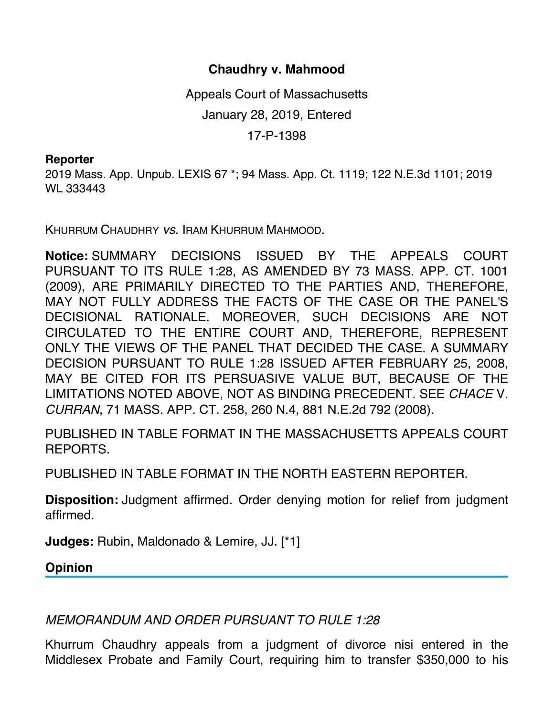## **Chaudhry v. Mahmood**

Appeals Court of Massachusetts January 28, 2019, Entered 17-P-1398

## **Reporter**

2019 Mass. App. Unpub. LEXIS 67 \*; 94 Mass. App. Ct. 1119; 122 N.E.3d 1101; 2019 WL 333443

KHURRUM CHAUDHRY *vs*. IRAM KHURRUM MAHMOOD.

**Notice:** SUMMARY DECISIONS ISSUED BY THE APPEALS COURT PURSUANT TO ITS RULE 1:28, AS AMENDED BY 73 MASS. APP. CT. 1001 (2009), ARE PRIMARILY DIRECTED TO THE PARTIES AND, THEREFORE, MAY NOT FULLY ADDRESS THE FACTS OF THE CASE OR THE PANEL'S DECISIONAL RATIONALE. MOREOVER, SUCH DECISIONS ARE NOT CIRCULATED TO THE ENTIRE COURT AND, THEREFORE, REPRESENT ONLY THE VIEWS OF THE PANEL THAT DECIDED THE CASE. A SUMMARY DECISION PURSUANT TO RULE 1:28 ISSUED AFTER FEBRUARY 25, 2008, MAY BE CITED FOR ITS PERSUASIVE VALUE BUT, BECAUSE OF THE LIMITATIONS NOTED ABOVE, NOT AS BINDING PRECEDENT. SEE *CHACE* V. *CURRAN*, 71 MASS. APP. CT. 258, 260 N.4, 881 N.E.2d 792 (2008).

PUBLISHED IN TABLE FORMAT IN THE MASSACHUSETTS APPEALS COURT REPORTS.

PUBLISHED IN TABLE FORMAT IN THE NORTH EASTERN REPORTER.

**Disposition:** Judgment affirmed. Order denying motion for relief from judgment affirmed.

**Judges:** Rubin, Maldonado & Lemire, JJ. [\*1]

**Opinion**

*MEMORANDUM AND ORDER PURSUANT TO RULE 1:28*

Khurrum Chaudhry appeals from a judgment of divorce nisi entered in the Middlesex Probate and Family Court, requiring him to transfer \$350,000 to his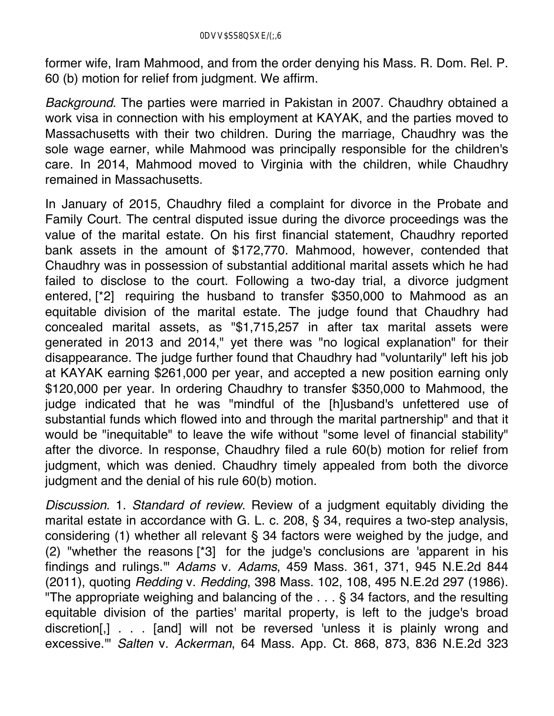former wife, Iram Mahmood, and from the order denying his Mass. R. Dom. Rel. P. 60 (b) motion for relief from judgment. We affirm.

*Background*. The parties were married in Pakistan in 2007. Chaudhry obtained a work visa in connection with his employment at KAYAK, and the parties moved to Massachusetts with their two children. During the marriage, Chaudhry was the sole wage earner, while Mahmood was principally responsible for the children's care. In 2014, Mahmood moved to Virginia with the children, while Chaudhry remained in Massachusetts.

In January of 2015, Chaudhry filed a complaint for divorce in the Probate and Family Court. The central disputed issue during the divorce proceedings was the value of the marital estate. On his first financial statement, Chaudhry reported bank assets in the amount of \$172,770. Mahmood, however, contended that Chaudhry was in possession of substantial additional marital assets which he had failed to disclose to the court. Following a two-day trial, a divorce judgment entered, [\*2] requiring the husband to transfer \$350,000 to Mahmood as an equitable division of the marital estate. The judge found that Chaudhry had concealed marital assets, as "\$1,715,257 in after tax marital assets were generated in 2013 and 2014," yet there was "no logical explanation" for their disappearance. The judge further found that Chaudhry had "voluntarily" left his job at KAYAK earning \$261,000 per year, and accepted a new position earning only \$120,000 per year. In ordering Chaudhry to transfer \$350,000 to Mahmood, the judge indicated that he was "mindful of the [h]usband's unfettered use of substantial funds which flowed into and through the marital partnership" and that it would be "inequitable" to leave the wife without "some level of financial stability" after the divorce. In response, Chaudhry filed a rule 60(b) motion for relief from judgment, which was denied. Chaudhry timely appealed from both the divorce judgment and the denial of his rule 60(b) motion.

*Discussion*. 1. *Standard of review*. Review of a judgment equitably dividing the marital estate in accordance with G. L. c. 208, § 34, requires a two-step analysis, considering (1) whether all relevant § 34 factors were weighed by the judge, and (2) "whether the reasons [\*3] for the judge's conclusions are 'apparent in his findings and rulings.'" *Adams* v. *Adams*, 459 Mass. 361, 371, 945 N.E.2d 844 (2011), quoting *Redding* v. *Redding*, 398 Mass. 102, 108, 495 N.E.2d 297 (1986). "The appropriate weighing and balancing of the . . . § 34 factors, and the resulting equitable division of the parties' marital property, is left to the judge's broad discretion[,] . . . [and] will not be reversed 'unless it is plainly wrong and excessive.'" *Salten* v. *Ackerman*, 64 Mass. App. Ct. 868, 873, 836 N.E.2d 323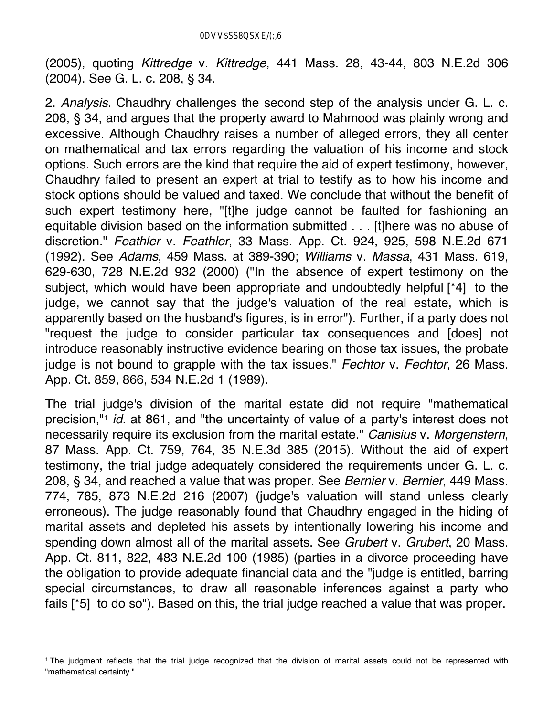(2005), quoting *Kittredge* v. *Kittredge*, 441 Mass. 28, 43-44, 803 N.E.2d 306 (2004). See G. L. c. 208, § 34.

2. *Analysis*. Chaudhry challenges the second step of the analysis under G. L. c. 208, § 34, and argues that the property award to Mahmood was plainly wrong and excessive. Although Chaudhry raises a number of alleged errors, they all center on mathematical and tax errors regarding the valuation of his income and stock options. Such errors are the kind that require the aid of expert testimony, however, Chaudhry failed to present an expert at trial to testify as to how his income and stock options should be valued and taxed. We conclude that without the benefit of such expert testimony here, "[t]he judge cannot be faulted for fashioning an equitable division based on the information submitted . . . [t]here was no abuse of discretion." *Feathler* v. *Feathler*, 33 Mass. App. Ct. 924, 925, 598 N.E.2d 671 (1992). See *Adams*, 459 Mass. at 389-390; *Williams* v. *Massa*, 431 Mass. 619, 629-630, 728 N.E.2d 932 (2000) ("In the absence of expert testimony on the subject, which would have been appropriate and undoubtedly helpful [\*4] to the judge, we cannot say that the judge's valuation of the real estate, which is apparently based on the husband's figures, is in error"). Further, if a party does not "request the judge to consider particular tax consequences and [does] not introduce reasonably instructive evidence bearing on those tax issues, the probate judge is not bound to grapple with the tax issues." *Fechtor* v. *Fechtor*, 26 Mass. App. Ct. 859, 866, 534 N.E.2d 1 (1989).

The trial judge's division of the marital estate did not require "mathematical precision,"1 *id.* at 861, and "the uncertainty of value of a party's interest does not necessarily require its exclusion from the marital estate." *Canisius* v. *Morgenstern*, 87 Mass. App. Ct. 759, 764, 35 N.E.3d 385 (2015). Without the aid of expert testimony, the trial judge adequately considered the requirements under G. L. c. 208, § 34, and reached a value that was proper. See *Bernier* v. *Bernier*, 449 Mass. 774, 785, 873 N.E.2d 216 (2007) (judge's valuation will stand unless clearly erroneous). The judge reasonably found that Chaudhry engaged in the hiding of marital assets and depleted his assets by intentionally lowering his income and spending down almost all of the marital assets. See *Grubert* v. *Grubert*, 20 Mass. App. Ct. 811, 822, 483 N.E.2d 100 (1985) (parties in a divorce proceeding have the obligation to provide adequate financial data and the "judge is entitled, barring special circumstances, to draw all reasonable inferences against a party who fails [\*5] to do so"). Based on this, the trial judge reached a value that was proper.

<sup>1</sup> The judgment reflects that the trial judge recognized that the division of marital assets could not be represented with "mathematical certainty."